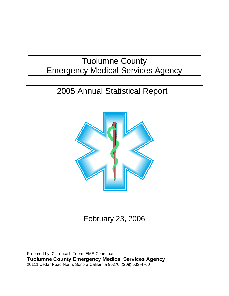# Tuolumne County Emergency Medical Services Agency

# 2005 Annual Statistical Report



February 23, 2006

Prepared by: Clarence I. Teem, EMS Coordinator **Tuolumne County Emergency Medical Services Agency** 20111 Cedar Road North, Sonora California 95370 (209) 533-4760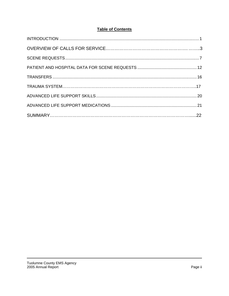## **Table of Contents**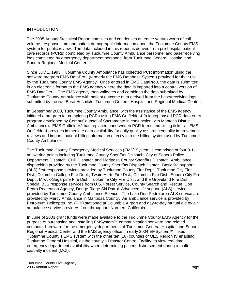#### **INTRODUCTION**

The 2005 Annual Statistical Report compiles and condenses an entire year=s worth of call volume, response time and patient demographic information about the Tuolumne County EMS system for public review. The data included in this report is derived from pre-hospital patient care records (PCRs) completed by Tuolumne County Ambulance personnel and base/receiving logs completed by emergency department personnel from Tuolumne General Hospital and Sonora Regional Medical Center.

Since July 1, 1993, Tuolumne County Ambulance has collected PCR information using the software program EMS DataProJ (formerly the EMS Database System) provided for their use by the Tuolumne County EMS Agency. Once entered in EMS DataProJ, the data is submitted in an electronic format to the EMS agency where the data is imported into a central version of EMS DataProJ. The EMS agency then validates and combines the data submitted by Tuolumne County Ambulance with patient outcome data derived from the base/receiving logs submitted by the two Base Hospitals, Tuolumne General Hospital and Regional Medical Center.

In September 2000, Tuolumne County Ambulance, with the assistance of the EMS agency,  $initialed$  a program for completing PCRs using EMS Outfielder $J$  (a laptop based PCR data entry program developed by CompuCounsel of Sacramento in conjunction with Manteca District Ambulance). EMS OutfielderJ has replaced hand-written PCR forms and billing tickets. EMS OutfielderJ provides immediate data availability for daily quality assurance/quality improvement reviews and imports patient billing information directly into the billing system used by Tuolumne County Ambulance.

The Tuolumne County Emergency Medical Services (EMS) System is comprised of four 9-1-1 answering points including Tuolumne County Sheriff=s Dispatch, City of Sonora Police Department Dispatch, CHP Dispatch and Mariposa County Sheriff=s Dispatch; Ambulance dispatching provided by the Tuolumne County Sheriff=s Dispatch Center. Basic life support (BLS) first response services provided by Tuolumne County Fire Dept., Tuolumne City Fire Dist., Columbia College Fire Dept.; Twain Harte Fire Dist., Columbia Fire Dist., Sonora City Fire Dept., Miwuk-Sugarpine Fire Dist., Tuolumne City Fire Dist., and the Groveland Fire Dist.. Special BLS response services from U.S. Forest Service, County Search and Rescue, Don Pedro Recreation Agency, Dodge Ridge Ski Patrol Advanced life support (ALS) service provided by Tuolumne County Ambulance Service. The Lake Don Pedro area ALS service are provided by Mercy Ambulance in Mariposa County. Air ambulance service is provided by Petroleum Helicopter Inc. (PHI) stationed at Columbia Airport and day-to-day mutual aid by air ambulance service providers from throughout Northern California.

In June of 2003 grant funds were made available to the Tuolumne County EMS Agency for the purpose of purchasing and installing EMSystem™ communication software and related computer hardware for the emergency departments of Tuolumne General Hospital and Sonora Regional Medical Center and the EMS agency office. In early 2004 EMSystem<sup>™</sup> linked Tuolumne County's EMS system with the other ten (10) counties of OES Region IV enabling Tuolumne General Hospital, as the county's Disaster Control Facility, to view real-time emergency department availability when determining patient disbursement during a multicasualty incident (MCI).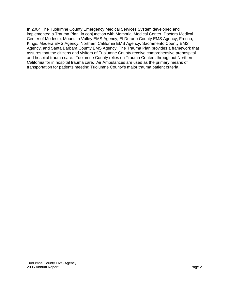In 2004 The Tuolumne County Emergency Medical Services System developed and implemented a Trauma Plan, in conjunction with Memorial Medical Center, Doctors Medical Center of Modesto, Mountain Valley EMS Agency, El Dorado County EMS Agency, Fresno, Kings, Madera EMS Agency, Northern California EMS Agency, Sacramento County EMS Agency, and Santa Barbara County EMS Agency. The Trauma Plan provides a framework that assures that the citizens and visitors of Tuolumne County receive comprehensive prehospital and hospital trauma care. Tuolumne County relies on Trauma Centers throughout Northern California for in hospital trauma care. Air Ambulances are used as the primary means of transportation for patients meeting Tuolumne County's major trauma patient criteria.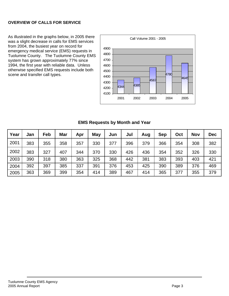#### **OVERVIEW OF CALLS FOR SERVICE**

As illustrated in the graphs below, in 2005 there was a slight decrease in calls for EMS services from 2004, the busiest year on record for emergency medical service (EMS) requests in Tuolumne County. The Tuolumne County EMS system has grown approximately 77% since 1994, the first year with reliable data. Unless otherwise specified EMS requests include both scene and transfer call types.



#### **EMS Requests by Month and Year**

| Year | Jan | Feb | Mar | Apr | May | Jun | Jul | Aug | <b>Sep</b> | Oct | <b>Nov</b> | <b>Dec</b> |
|------|-----|-----|-----|-----|-----|-----|-----|-----|------------|-----|------------|------------|
| 2001 | 383 | 355 | 358 | 357 | 330 | 377 | 396 | 379 | 366        | 354 | 308        | 382        |
| 2002 | 383 | 327 | 407 | 344 | 370 | 330 | 426 | 436 | 354        | 352 | 326        | 330        |
| 2003 | 390 | 318 | 380 | 363 | 325 | 368 | 442 | 381 | 383        | 393 | 403        | 421        |
| 2004 | 392 | 397 | 385 | 337 | 391 | 376 | 453 | 425 | 390        | 389 | 376        | 469        |
| 2005 | 363 | 369 | 399 | 354 | 414 | 389 | 467 | 414 | 365        | 377 | 355        | 379        |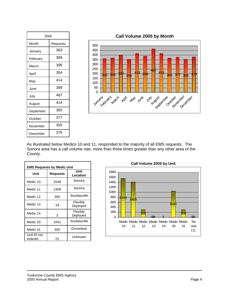| 2005      |          |  |  |
|-----------|----------|--|--|
| Month     | Requests |  |  |
| January   | 363      |  |  |
| February  | 369      |  |  |
| March     | 399      |  |  |
| April     | 354      |  |  |
| May       | 414      |  |  |
| June      | 389      |  |  |
| July      | 467      |  |  |
| August    | 414      |  |  |
| September | 365      |  |  |
| October   | 377      |  |  |
| November  | 355      |  |  |
| December  | 379      |  |  |

**Call Volume 2005 by Month**



As illustrated below Medics 10 and 11, responded to the majority of all EMS requests. The Sonora area has a call volume rate, more than three times greater than any other area of the County.

| <b>EMS Requests by Medic Unit</b> |                 |                      |  |  |
|-----------------------------------|-----------------|----------------------|--|--|
| Unit                              | <b>Requests</b> | Unit<br>Location     |  |  |
| Medic 10                          | 1548            | Sonora               |  |  |
| Medic 11                          | 1408            | Sonora               |  |  |
| Medic 12                          | 305             | Soulsbyville         |  |  |
| Medic 13                          | 19              | Flexibly<br>Deployed |  |  |
| Medic 14                          | 3               | Flexibly<br>Deployed |  |  |
| Medic 20                          | 1041            | Soulsbyville         |  |  |
| Medic 41                          | 300             | Groveland            |  |  |
| Unit ID not<br>entered            | 21              | Unknown              |  |  |

**Call Volume 2005 by Unit** 

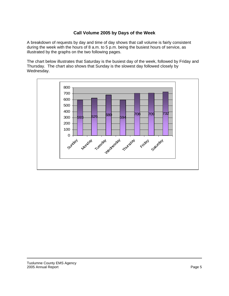#### **Call Volume 2005 by Days of the Week**

A breakdown of requests by day and time of day shows that call volume is fairly consistent during the week with the hours of 8 a.m. to 5 p.m. being the busiest hours of service, as illustrated by the graphs on the two following pages.

The chart below illustrates that Saturday is the busiest day of the week, followed by Friday and Thursday. The chart also shows that Sunday is the slowest day followed closely by Wednesday.

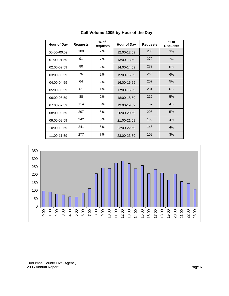| Hour of Day | <b>Requests</b> | $%$ of<br><b>Requests</b> | Hour of Day | <b>Requests</b> | $%$ of<br><b>Requests</b> |
|-------------|-----------------|---------------------------|-------------|-----------------|---------------------------|
| 00:00-00:59 | 100             | 2%                        | 12:00-12:59 | 286             | 7%                        |
| 01:00-01:59 | 91              | 2%                        | 13:00-13:59 | 270             | 7%                        |
| 02:00-02:59 | 80              | 2%                        | 14:00-14:59 | 239             | 6%                        |
| 03:00-03:59 | 75              | 2%                        | 15:00-15:59 | 259             | 6%                        |
| 04:00-04:59 | 64              | 2%                        | 16:00-16:59 | 207             | 5%                        |
| 05:00-05:59 | 61              | 1%                        | 17:00-16:59 | 234             | 6%                        |
| 06:00-06:59 | 88              | 2%                        | 18:00-18:59 | 212             | 5%                        |
| 07:00-07:59 | 114             | 3%                        | 19:00-19:59 | 167             | 4%                        |
| 08:00-08:59 | 207             | 5%                        | 20:00-20:59 | 206             | 5%                        |
| 09:00-09:59 | 242             | 6%                        | 21:00-21:59 | 158             | 4%                        |
| 10:00-10:59 | 241             | 6%                        | 22:00-22:59 | 146             | 4%                        |
| 11:00-11:59 | 277             | 7%                        | 23:00-23:59 | 109             | 3%                        |

#### **Call Volume 2005 by Hour of the Day**

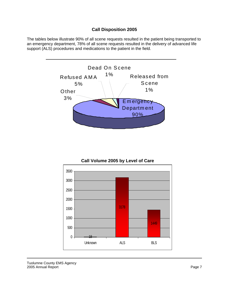### **Call Disposition 2005**

The tables below illustrate 90% of all scene requests resulted in the patient being transported to an emergency department, 78% of all scene requests resulted in the delivery of advanced life support (ALS) procedures and medications to the patient in the field.



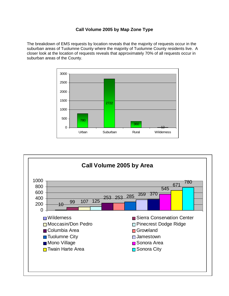## **Call Volume 2005 by Map Zone Type**

The breakdown of EMS requests by location reveals that the majority of requests occur in the suburban areas of Tuolumne County where the majority of Tuolumne County residents live. A closer look at the location of requests reveals that approximately 70% of all requests occur in suburban areas of the County.



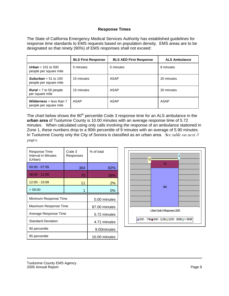#### **Response Times**

The State of California Emergency Medical Services Authority has established guidelines for response time standards to EMS requests based on population density. EMS areas are to be designated so that ninety (90%) of EMS responses shall not exceed:

|                                                             | <b>BLS First Response</b> | <b>BLS AED First Response</b> | <b>ALS Ambulance</b> |
|-------------------------------------------------------------|---------------------------|-------------------------------|----------------------|
| <b>Urban</b> = 101 to 500<br>people per square mile         | 5 minutes                 | 5 minutes                     | 8 minutes            |
| <b>Suburban</b> = 51 to 100<br>people per square mile       | 15 minutes                | ASAP                          | 20 minutes           |
| <b>Rural</b> = $7$ to 50 people<br>per square mile          | 15 minutes                | ASAP                          | 20 minutes           |
| <b>Wilderness</b> = less than $7$<br>people per square mile | ASAP                      | ASAP                          | ASAP                 |

The chart below shows the 90<sup>th</sup> percentile Code 3 response time for an ALS ambulance in the **urban area** of Tuolumne County is 10.00 minutes with an average response time of 5.72 minutes. When calculated using only calls involving the response of an ambulance stationed in Zone 1, these numbers drop to a 90th percentile of 9 minutes with an average of 5.90 minutes. In Tuolumne County only the City of Sonora is classified as an urban area. See table on next  $3$ pages.

| Response Time<br>Interval in Minutes<br>(Urban) | Code 3<br>Responses | % of total    |
|-------------------------------------------------|---------------------|---------------|
| $00:00 - 07:99$                                 | 364                 | 82%           |
| $08:00 - 11:99$                                 | 70                  | 16%           |
| 12:00 - 19:99                                   | 11                  | 2%            |
| > 59:00                                         | 1                   | 0%            |
|                                                 |                     |               |
| Minimum Response Time                           |                     | 0.00 minutes  |
| Maximum Response Time                           |                     | 87.00 minutes |
| Average Response Time                           |                     | 5.72 minutes  |
| <b>Standard Deviation</b>                       |                     | 4.71 minutes  |
| 90 percentile                                   |                     | 9.00minutes   |

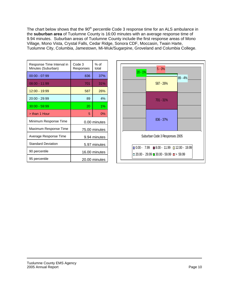The chart below shows that the 90<sup>th</sup> percentile Code 3 response time for an ALS ambulance in the **suburban area** of Tuolumne County is 16:00 minutes with an average response time of 9.94 minutes. Suburban areas of Tuolumne County include the first response areas of Mono Village, Mono Vista, Crystal Falls, Cedar Ridge, Sonora CDF, Moccasin, Twain Harte, Tuolumne City, Columbia, Jamestown, Mi-Wuk/Sugarpine, Groveland and Columbia College.

| Response Time Interval in<br>Minutes (Suburban) | Code 3<br>Responses | $%$ of<br>total |  |
|-------------------------------------------------|---------------------|-----------------|--|
| $00:00 - 07:99$                                 | 836                 | 37%             |  |
| $08:00 - 11:99$                                 | 701                 | 31%             |  |
| 12:00 - 19:99                                   | 587                 | 26%             |  |
| $20:00 - 29:99$                                 | 89                  | 4%              |  |
| $30:00 - 59:99$                                 | 20                  | $1\%$           |  |
| > than 1 Hour                                   | 5                   | $0\%$           |  |
| Minimum Response Time                           |                     | 0.00 minutes    |  |
| Maximum Response Time                           | 75.00 minutes       |                 |  |
| Average Response Time                           | 9.94 minutes        |                 |  |
| <b>Standard Deviation</b>                       | 5.97 minutes        |                 |  |
| 90 percentile                                   | 16.00 minutes       |                 |  |
| 95 percentile                                   |                     | 20.00 minutes   |  |

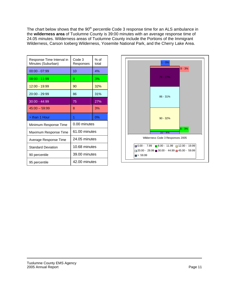The chart below shows that the 90<sup>th</sup> percentile Code 3 response time for an ALS ambulance in the **wilderness area** of Tuolumne County is 39:00 minutes with an average response time of 24.05 minutes. Wilderness areas of Tuolumne County include the Portions of the Immigrant Wilderness, Carson Iceberg Wilderness, Yosemite National Park, and the Cherry Lake Area.

| Response Time Interval in<br>Minutes (Suburban) | Code 3<br>Responses | % of<br>total |
|-------------------------------------------------|---------------------|---------------|
| $00:00 - 07:99$                                 | 10                  | 4%            |
| $08:00 - 11:99$                                 | 8                   | 3%            |
| 12:00 - 19:99                                   | 90                  | 32%           |
| $20:00 - 29:99$                                 | 86                  | 31%           |
| $30:00 - 44:99$                                 | 75                  | 27%           |
| $45:00 - 59:99$                                 | 8                   | 3%            |
| > than 1 Hour                                   | 1                   | 0%            |
| Minimum Response Time                           | 0.00 minutes        |               |
| Maximum Response Time                           | 61.00 minutes       |               |
| Average Response Time                           | 24.05 minutes       |               |
| <b>Standard Deviation</b>                       | 10.68 minutes       |               |
| 90 percentile                                   | 39.00 minutes       |               |
| 95 percentile                                   | 42.00 minutes       |               |

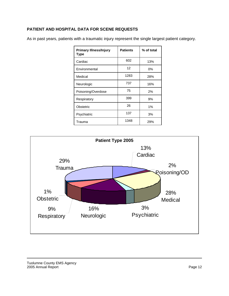#### **PATIENT AND HOSPITAL DATA FOR SCENE REQUESTS**

As in past years, patients with a traumatic injury represent the single largest patient category.

| <b>Primary Illness/Injury</b><br>Type | <b>Patients</b> | % of total |
|---------------------------------------|-----------------|------------|
| Cardiac                               | 602             | 13%        |
| Environmental                         | 12              | 0%         |
| Medical                               | 1283            | 28%        |
| Neurologic                            | 737             | 16%        |
| Poisoning/Overdose                    | 75              | 2%         |
| Respiratory                           | 399             | 9%         |
| Obstetric                             | 26              | $1\%$      |
| Psychiatric                           | 137             | 3%         |
| Trauma                                | 1348            | 29%        |

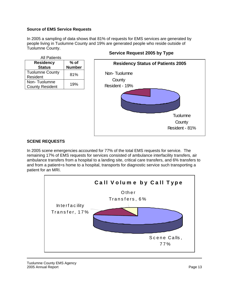#### **Source of EMS Service Requests**

In 2005 a sampling of data shows that 81% of requests for EMS services are generated by people living in Tuolumne County and 19% are generated people who reside outside of Tuolumne County.

| <b>All Patients</b>                    |               |
|----------------------------------------|---------------|
| <b>Residency</b>                       | $%$ of        |
| <b>Status</b>                          | <b>Number</b> |
| <b>Tuolumne County</b><br>Resident     | 81%           |
| Non-Tuolumne<br><b>County Resident</b> | 19%           |

#### **Service Request 2005 by Type**



#### **SCENE REQUESTS**

In 2005 scene emergencies accounted for 77% of the total EMS requests for service. The remaining 17% of EMS requests for services consisted of ambulance interfacility transfers, air ambulance transfers from a hospital to a landing site, critical care transfers, and 6% transfers to and from a patient=s home to a hospital, transports for diagnostic service such transporting a patient for an MRI.

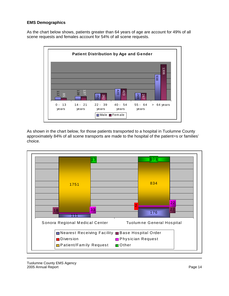#### **EMS Demographics**

As the chart below shows, patients greater than 64 years of age are account for 49% of all scene requests and females account for 54% of all scene requests.



As shown in the chart below, for those patients transported to a hospital in Tuolumne County approximately 84% of all scene transports are made to the hospital of the patient=s or families' choice.



Tuolumne County EMS Agency 2005 Annual Report **Page 14** November 2005 Annual Report **Page 14**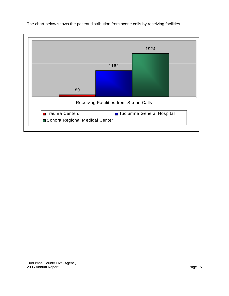

The chart below shows the patient distribution from scene calls by receiving facilities.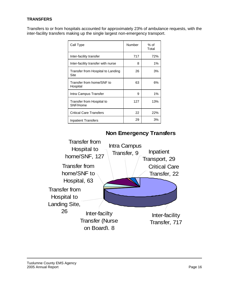#### **TRANSFERS**

Transfers to or from hospitals accounted for approximately 23% of ambulance requests, with the inter-facility transfers making up the single largest non-emergency transport.

| Call Type                                 | Number | % of<br>Total |
|-------------------------------------------|--------|---------------|
| Inter-facility transfer                   | 717    | 72%           |
| Inter-facility transfer with nurse        | 8      | $1\%$         |
| Transfer from Hospital to Landing<br>Site | 26     | 3%            |
| Transfer from home/SNF to<br>Hospital     | 63     | 6%            |
| Intra Campus Transfer                     | 9      | 1%            |
| Transfer from Hospital to<br>SNF/Home     | 127    | 13%           |
| <b>Critical Care Transfers</b>            | 22     | 22%           |
| <b>Inpatient Transfers</b>                | 29     | 3%            |



# **Non Emergency Transfers**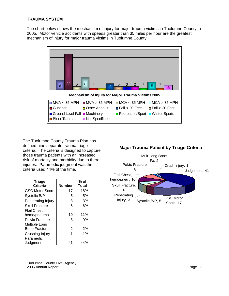#### **TRAUMA SYSTEM**

The chart below shows the mechanism of injury for major trauma victims in Tuolumne County in 2005. Motor vehicle accidents with speeds greater than 35 miles per hour are the greatest mechanism of injury for major trauma victims in Tuolumne County.



The Tuolumne County Trauma Plan has defined nine separate trauma triage criteria. The criteria is designed to capture those trauma patients with an increased risk of mortality and morbidity due to there injuries. Paramedic judgment was the criteria used 44% of the time.

| <b>Triage</b>          |                | $%$ of       |
|------------------------|----------------|--------------|
| <b>Criteria</b>        | Number         | <b>Total</b> |
| <b>GSC Motor Score</b> | 17             | 18%          |
| Systolic B/P           | 5              | 5%           |
| Penetrating Injury     | 3              | 3%           |
| <b>Skull Fracture</b>  | 6              | 6%           |
| Flail Chest,           |                |              |
| hemo/pneumo            | 10             | 11%          |
| <b>Pelvic Fracture</b> | 8              | 9%           |
| Multiple Long          |                |              |
| <b>Bone Fractures</b>  | 2              | 2%           |
| Crushing Injury        |                | 1%           |
| Paramedic              |                |              |
| Judgment               | 4 <sub>1</sub> | 44%          |

### **Major Trauma Patient by Triage Criteria**

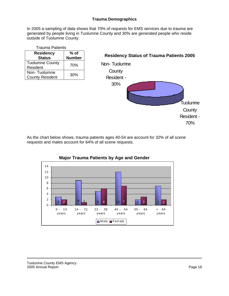#### **Trauma Demographics**

In 2005 a sampling of data shows that 70% of requests for EMS services due to trauma are generated by people living in Tuolumne County and 30% are generated people who reside outside of Tuolumne County.

| <b>Trauma Patients</b> |               |  |  |
|------------------------|---------------|--|--|
| <b>Residency</b>       | $%$ of        |  |  |
| <b>Status</b>          | <b>Number</b> |  |  |
| <b>Tuolumne County</b> | 70%           |  |  |
| Resident               |               |  |  |
| Non-Tuolumne           | 30%           |  |  |
| <b>County Resident</b> |               |  |  |

# **Residency Status of Trauma Patients 2005** Tuolumne **County** Resident - 70% Non- Tuolumne **County** Resident - 30%

As the chart below shows, trauma patients ages 40-54 are account for 32% of all scene requests and males account for 64% of all scene requests.



# **Major Trauma Patients by Age and Gender**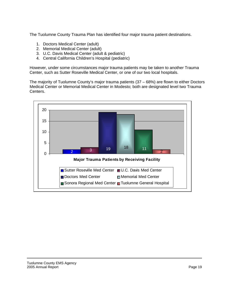The Tuolumne County Trauma Plan has identified four major trauma patient destinations.

- 1. Doctors Medical Center (adult)
- 2. Memorial Medical Center (adult)
- 3. U.C. Davis Medical Center (adult & pediatric)
- 4. Central California Children's Hospital (pediatric)

However, under some circumstances major trauma patients may be taken to another Trauma Center, such as Sutter Roseville Medical Center, or one of our two local hospitals.

The majority of Tuolumne County's major trauma patients (37 – 68%) are flown to either Doctors Medical Center or Memorial Medical Center in Modesto; both are designated level two Trauma Centers.

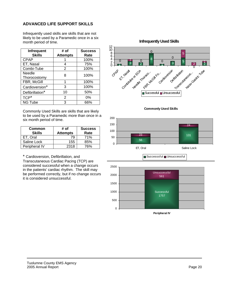#### **ADVANCED LIFE SUPPORT SKILLS**

Infrequently used skills are skills that are not likely to be used by a Paramedic once in a six month period of time.

| <b>Infrequent</b><br><b>Skills</b> | # of<br><b>Attempts</b> | <b>Success</b><br>Rate |
|------------------------------------|-------------------------|------------------------|
| <b>CPAP</b>                        |                         | 100%                   |
| ET, Nasal                          | 4                       | 75%                    |
| Combi-Tube                         | 2                       | 100%                   |
| Needle<br>Thorocostomy             | 8                       | 100%                   |
| FBR, McGill                        | 1                       | 100%                   |
| Cardioversion*                     | 3                       | 100%                   |
| Defibrillation*                    | 10                      | 50%                    |
| TCP <sup>*</sup>                   | 2                       | $0\%$                  |
| <b>NG Tube</b>                     | з                       | 66%                    |

Commonly Used Skills are skills that are likely to be used by a Paramedic more than once in a six month period of time.

| Common<br><b>Skills</b> | # of<br><b>Attempts</b> | <b>Success</b><br>Rate |
|-------------------------|-------------------------|------------------------|
| ET. Oral                | 79                      | 71%                    |
| Saline Lock             | 155                     | 85%                    |
| Peripheral IV           | 2318                    | 76%                    |

\* Cardioversion, Defibrillation, and Transcutaneous Cardiac Pacing (TCP) are considered successful when a change occurs in the patients' cardiac rhythm. The skill may be performed correctly, but if no change occurs it is considered unsuccessful.

**Infrequently Used Skills**







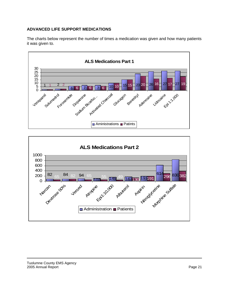#### **ADVANCED LIFE SUPPORT MEDICATIONS**

The charts below represent the number of times a medication was given and how many patients it was given to.